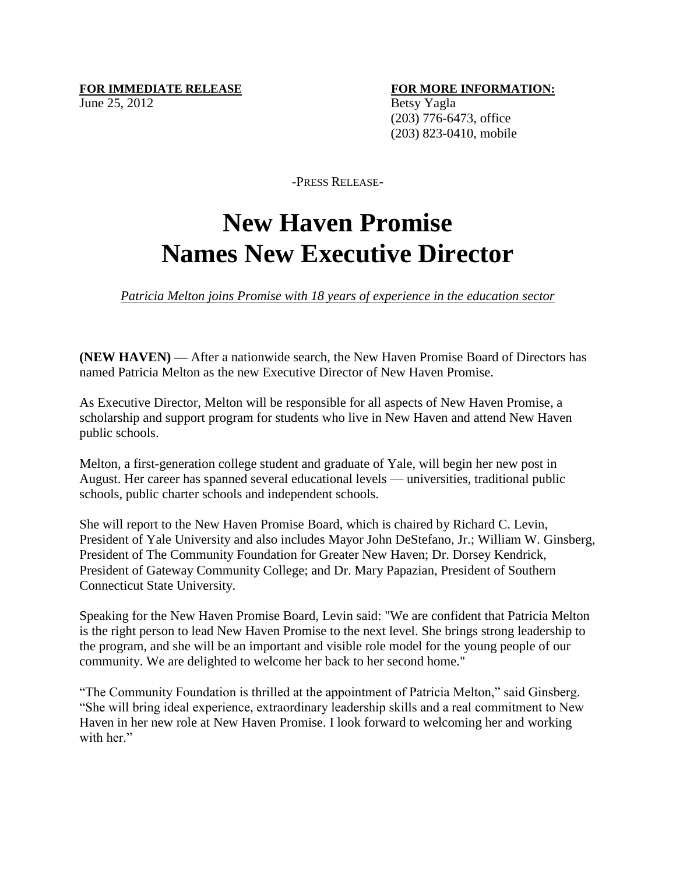## **FOR IMMEDIATE RELEASE FOR MORE INFORMATION:** June 25, 2012 Betsy Yagla

 (203) 776-6473, office (203) 823-0410, mobile

-PRESS RELEASE-

## **New Haven Promise Names New Executive Director**

*Patricia Melton joins Promise with 18 years of experience in the education sector*

**(NEW HAVEN) —** After a nationwide search, the New Haven Promise Board of Directors has named Patricia Melton as the new Executive Director of New Haven Promise.

As Executive Director, Melton will be responsible for all aspects of New Haven Promise, a scholarship and support program for students who live in New Haven and attend New Haven public schools.

Melton, a first-generation college student and graduate of Yale, will begin her new post in August. Her career has spanned several educational levels — universities, traditional public schools, public charter schools and independent schools.

She will report to the New Haven Promise Board, which is chaired by Richard C. Levin, President of Yale University and also includes Mayor John DeStefano, Jr.; William W. Ginsberg, President of The Community Foundation for Greater New Haven; Dr. Dorsey Kendrick, President of Gateway Community College; and Dr. Mary Papazian, President of Southern Connecticut State University.

Speaking for the New Haven Promise Board, Levin said: "We are confident that Patricia Melton is the right person to lead New Haven Promise to the next level. She brings strong leadership to the program, and she will be an important and visible role model for the young people of our community. We are delighted to welcome her back to her second home."

"The Community Foundation is thrilled at the appointment of Patricia Melton," said Ginsberg. "She will bring ideal experience, extraordinary leadership skills and a real commitment to New Haven in her new role at New Haven Promise. I look forward to welcoming her and working with her."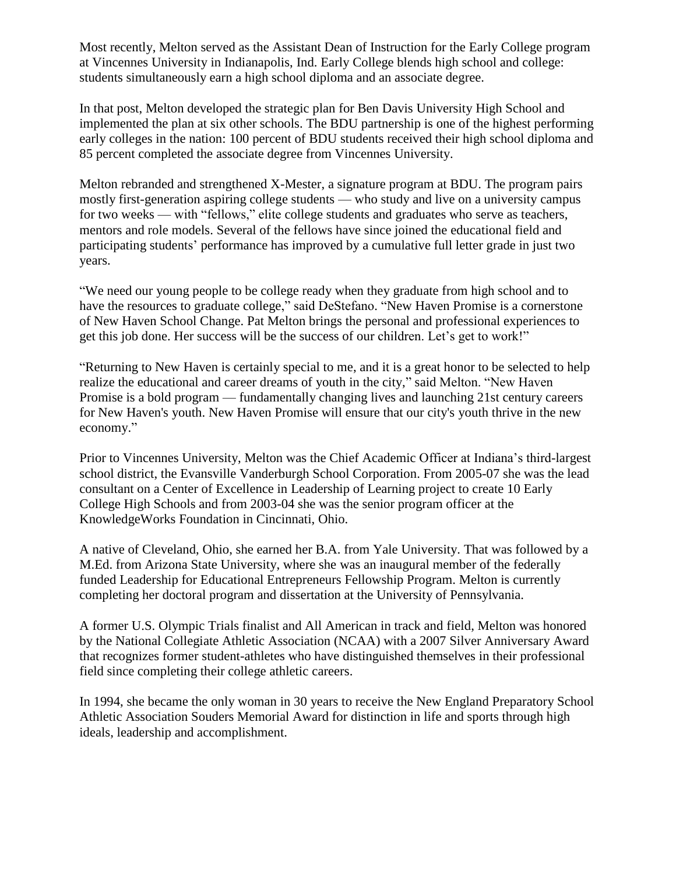Most recently, Melton served as the Assistant Dean of Instruction for the Early College program at Vincennes University in Indianapolis, Ind. Early College blends high school and college: students simultaneously earn a high school diploma and an associate degree.

In that post, Melton developed the strategic plan for Ben Davis University High School and implemented the plan at six other schools. The BDU partnership is one of the highest performing early colleges in the nation: 100 percent of BDU students received their high school diploma and 85 percent completed the associate degree from Vincennes University.

Melton rebranded and strengthened X-Mester, a signature program at BDU. The program pairs mostly first-generation aspiring college students — who study and live on a university campus for two weeks — with "fellows," elite college students and graduates who serve as teachers, mentors and role models. Several of the fellows have since joined the educational field and participating students' performance has improved by a cumulative full letter grade in just two years.

"We need our young people to be college ready when they graduate from high school and to have the resources to graduate college," said DeStefano. "New Haven Promise is a cornerstone of New Haven School Change. Pat Melton brings the personal and professional experiences to get this job done. Her success will be the success of our children. Let's get to work!"

"Returning to New Haven is certainly special to me, and it is a great honor to be selected to help realize the educational and career dreams of youth in the city," said Melton. "New Haven Promise is a bold program — fundamentally changing lives and launching 21st century careers for New Haven's youth. New Haven Promise will ensure that our city's youth thrive in the new economy."

Prior to Vincennes University, Melton was the Chief Academic Officer at Indiana's third-largest school district, the Evansville Vanderburgh School Corporation. From 2005-07 she was the lead consultant on a Center of Excellence in Leadership of Learning project to create 10 Early College High Schools and from 2003-04 she was the senior program officer at the KnowledgeWorks Foundation in Cincinnati, Ohio.

A native of Cleveland, Ohio, she earned her B.A. from Yale University. That was followed by a M.Ed. from Arizona State University, where she was an inaugural member of the federally funded Leadership for Educational Entrepreneurs Fellowship Program. Melton is currently completing her doctoral program and dissertation at the University of Pennsylvania.

A former U.S. Olympic Trials finalist and All American in track and field, Melton was honored by the National Collegiate Athletic Association (NCAA) with a 2007 Silver Anniversary Award that recognizes former student-athletes who have distinguished themselves in their professional field since completing their college athletic careers.

In 1994, she became the only woman in 30 years to receive the New England Preparatory School Athletic Association Souders Memorial Award for distinction in life and sports through high ideals, leadership and accomplishment.